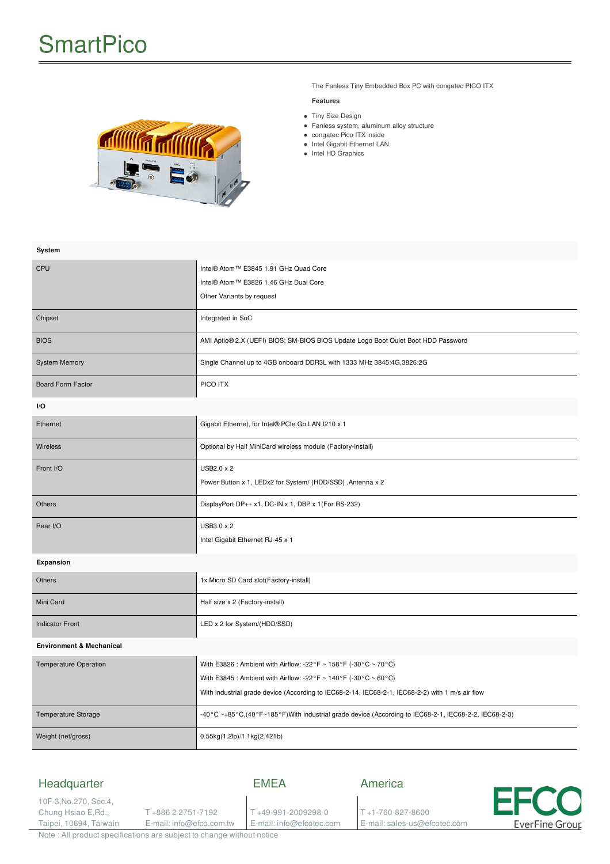

The Fanless Tiny Embedded Box PC with congatec PICO ITX

#### **Features**

- Tiny Size Design
- Fanless system, aluminum alloy structure
- congatec Pico ITX inside
- Intel Gigabit Ethernet LAN • Intel HD Graphics
- 

| System                              |                                                                                                      |
|-------------------------------------|------------------------------------------------------------------------------------------------------|
| CPU                                 | Intel® Atom™ E3845 1.91 GHz Quad Core                                                                |
|                                     | Intel® Atom™ E3826 1.46 GHz Dual Core                                                                |
|                                     | Other Variants by request                                                                            |
| Chipset                             | Integrated in SoC                                                                                    |
| <b>BIOS</b>                         | AMI Aptio® 2.X (UEFI) BIOS; SM-BIOS BIOS Update Logo Boot Quiet Boot HDD Password                    |
| <b>System Memory</b>                | Single Channel up to 4GB onboard DDR3L with 1333 MHz 3845:4G, 3826:2G                                |
| Board Form Factor                   | PICO ITX                                                                                             |
| I/O                                 |                                                                                                      |
| Ethernet                            | Gigabit Ethernet, for Intel® PCIe Gb LAN I210 x 1                                                    |
| Wireless                            | Optional by Half MiniCard wireless module (Factory-install)                                          |
| Front I/O                           | USB2.0 x 2                                                                                           |
|                                     | Power Button x 1, LEDx2 for System/ (HDD/SSD), Antenna x 2                                           |
| Others                              | DisplayPort DP++ x1, DC-IN x 1, DBP x 1(For RS-232)                                                  |
| Rear I/O                            | USB3.0 x 2                                                                                           |
|                                     | Intel Gigabit Ethernet RJ-45 x 1                                                                     |
| Expansion                           |                                                                                                      |
| Others                              | 1x Micro SD Card slot(Factory-install)                                                               |
| Mini Card                           | Half size x 2 (Factory-install)                                                                      |
| <b>Indicator Front</b>              | LED x 2 for System/(HDD/SSD)                                                                         |
| <b>Environment &amp; Mechanical</b> |                                                                                                      |
| <b>Temperature Operation</b>        | With E3826 : Ambient with Airflow: -22°F ~ 158°F (-30°C ~ 70°C)                                      |
|                                     | With E3845 : Ambient with Airflow: -22°F ~ 140°F (-30°C ~ 60°C)                                      |
|                                     | With industrial grade device (According to IEC68-2-14, IEC68-2-1, IEC68-2-2) with 1 m/s air flow     |
| Temperature Storage                 | -40°C ~+85°C,(40°F~185°F)With industrial grade device (According to IEC68-2-1, IEC68-2-2, IEC68-2-3) |
| Weight (net/gross)                  | 0.55kg(1.2lb)/1.1kg(2.421b)                                                                          |

#### Headquarter EMEA America Е 10F-3,No.270, Sec.4, Chung Hsiao E,Rd., T +886 2 2751-7192 T +49-991-2009298-0 T +1-760-827-8600 E-mail: info@efco.com.tw Taipei, 10694, Taiwain E-mail: info@efcotec.com E-mail: sales-us@efcotec.com **EverFine Group**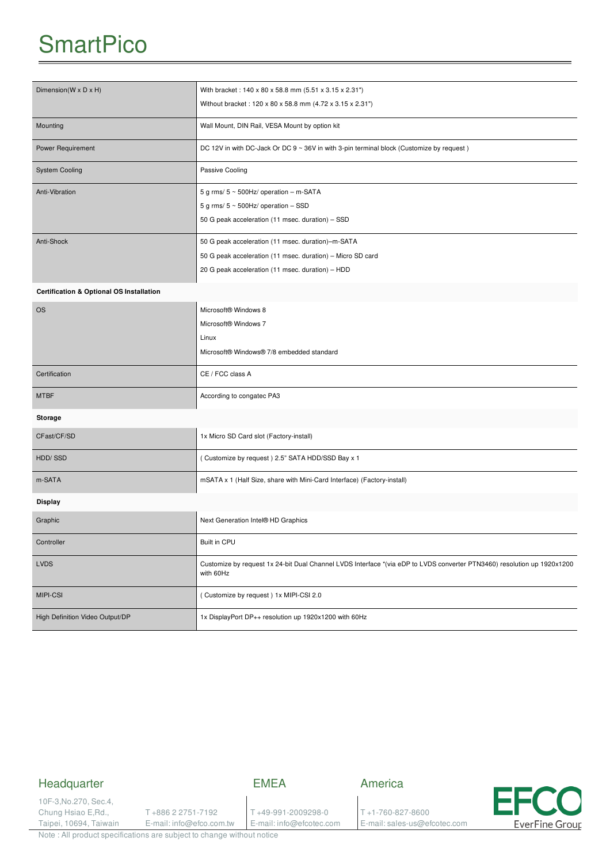# **SmartPico**

| Dimension(W x D x H)                                | With bracket: 140 x 80 x 58.8 mm (5.51 x 3.15 x 2.31")                                                                               |
|-----------------------------------------------------|--------------------------------------------------------------------------------------------------------------------------------------|
|                                                     | Without bracket: 120 x 80 x 58.8 mm (4.72 x 3.15 x 2.31")                                                                            |
| Mounting                                            | Wall Mount, DIN Rail, VESA Mount by option kit                                                                                       |
| Power Requirement                                   | DC 12V in with DC-Jack Or DC 9 ~ 36V in with 3-pin terminal block (Customize by request)                                             |
| <b>System Cooling</b>                               | Passive Cooling                                                                                                                      |
| Anti-Vibration                                      | 5 g rms/ $5 \sim 500$ Hz/ operation - m-SATA                                                                                         |
|                                                     | 5 g rms/ $5 \sim 500$ Hz/ operation $-$ SSD                                                                                          |
|                                                     | 50 G peak acceleration (11 msec. duration) - SSD                                                                                     |
| Anti-Shock                                          | 50 G peak acceleration (11 msec. duration)-m-SATA                                                                                    |
|                                                     | 50 G peak acceleration (11 msec. duration) - Micro SD card                                                                           |
|                                                     | 20 G peak acceleration (11 msec. duration) - HDD                                                                                     |
| <b>Certification &amp; Optional OS Installation</b> |                                                                                                                                      |
| <b>OS</b>                                           | Microsoft® Windows 8                                                                                                                 |
|                                                     | Microsoft® Windows 7                                                                                                                 |
|                                                     | Linux                                                                                                                                |
|                                                     | Microsoft® Windows® 7/8 embedded standard                                                                                            |
| Certification                                       | CE / FCC class A                                                                                                                     |
| <b>MTBF</b>                                         | According to congatec PA3                                                                                                            |
| Storage                                             |                                                                                                                                      |
| CFast/CF/SD                                         | 1x Micro SD Card slot (Factory-install)                                                                                              |
| HDD/SSD                                             | (Customize by request) 2.5" SATA HDD/SSD Bay x 1                                                                                     |
| m-SATA                                              | mSATA x 1 (Half Size, share with Mini-Card Interface) (Factory-install)                                                              |
| Display                                             |                                                                                                                                      |
| Graphic                                             | Next Generation Intel® HD Graphics                                                                                                   |
| Controller                                          | Built in CPU                                                                                                                         |
| <b>LVDS</b>                                         | Customize by request 1x 24-bit Dual Channel LVDS Interface *(via eDP to LVDS converter PTN3460) resolution up 1920x1200<br>with 60Hz |
| MIPI-CSI                                            | (Customize by request) 1x MIPI-CSI 2.0                                                                                               |
| High Definition Video Output/DP                     | 1x DisplayPort DP++ resolution up 1920x1200 with 60Hz                                                                                |

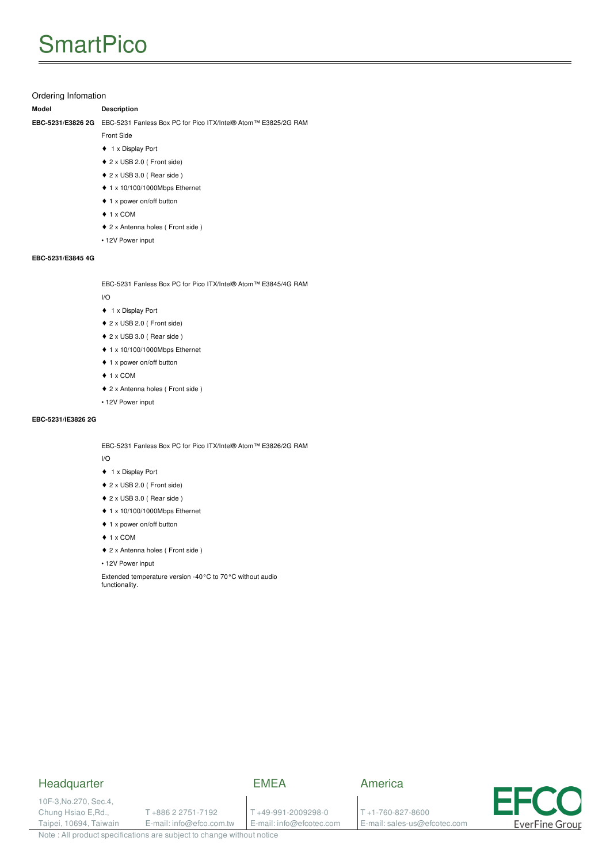### Ordering Infomation

#### **Model Description**

**EBC-5231/E3826 2G** EBC-5231 Fanless Box PC for Pico ITX/Intel® Atom™ E3825/2G RAM

- Front Side
- ♦ 1 x Display Port
- ♦ 2 x USB 2.0 ( Front side)
- ♦ 2 x USB 3.0 ( Rear side )
- ♦ 1 x 10/100/1000Mbps Ethernet
- ♦ 1 x power on/off button
- ♦ 1 x COM
- ♦ 2 x Antenna holes ( Front side )
- 12V Power input

#### **EBC-5231/E3845 4G**

EBC-5231 Fanless Box PC for Pico ITX/Intel® Atom™ E3845/4G RAM

#### I/O

- ♦ 1 x Display Port
- ♦ 2 x USB 2.0 ( Front side)
- ♦ 2 x USB 3.0 ( Rear side )
- ♦ 1 x 10/100/1000Mbps Ethernet
- ♦ 1 x power on/off button
- $\triangle$  1 x COM
- ♦ 2 x Antenna holes ( Front side )
- 12V Power input

#### **EBC-5231/iE3826 2G**

EBC-5231 Fanless Box PC for Pico ITX/Intel® Atom™ E3826/2G RAM

I/O

- ♦ 1 x Display Port
- ♦ 2 x USB 2.0 ( Front side)
- ♦ 2 x USB 3.0 ( Rear side )
- ♦ 1 x 10/100/1000Mbps Ethernet
- ♦ 1 x power on/off button
- ♦ 1 x COM
- ♦ 2 x Antenna holes ( Front side )
- 12V Power input

Extended temperature version -40°C to 70°C without audio functionality.

### **Headquarter**

## EMEA

10F-3,No.270, Sec.4, Chung Hsiao E,Rd., Taipei, 10694, Taiwain

T +886 2 2751-7192 E-mail: info@efco.com.tw

T +49-991-2009298-0 E-mail: info@efcotec.com

T +1-760-827-8600

E-mail: sales-us@efcotec.com

America